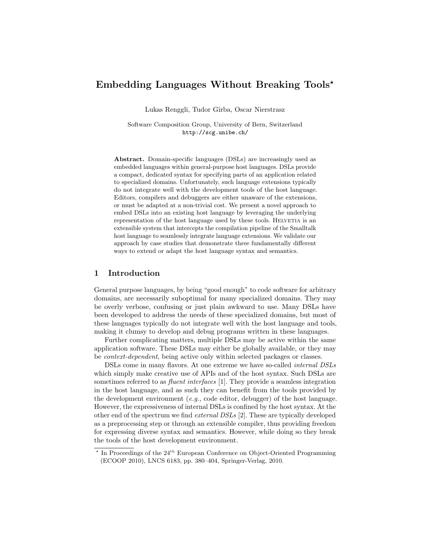# Embedding Languages Without Breaking Tools?

Lukas Renggli, Tudor Gˆırba, Oscar Nierstrasz

Software Composition Group, University of Bern, Switzerland <http://scg.unibe.ch/>

Abstract. Domain-specific languages (DSLs) are increasingly used as embedded languages within general-purpose host languages. DSLs provide a compact, dedicated syntax for specifying parts of an application related to specialized domains. Unfortunately, such language extensions typically do not integrate well with the development tools of the host language. Editors, compilers and debuggers are either unaware of the extensions, or must be adapted at a non-trivial cost. We present a novel approach to embed DSLs into an existing host language by leveraging the underlying representation of the host language used by these tools. HELVETIA is an extensible system that intercepts the compilation pipeline of the Smalltalk host language to seamlessly integrate language extensions. We validate our approach by case studies that demonstrate three fundamentally different ways to extend or adapt the host language syntax and semantics.

## 1 Introduction

General purpose languages, by being "good enough" to code software for arbitrary domains, are necessarily suboptimal for many specialized domains. They may be overly verbose, confusing or just plain awkward to use. Many DSLs have been developed to address the needs of these specialized domains, but most of these languages typically do not integrate well with the host language and tools, making it clumsy to develop and debug programs written in these languages.

Further complicating matters, multiple DSLs may be active within the same application software. These DSLs may either be globally available, or they may be context-dependent, being active only within selected packages or classes.

DSLs come in many flavors. At one extreme we have so-called internal DSLs which simply make creative use of APIs and of the host syntax. Such DSLs are sometimes referred to as *fluent interfaces* [\[1\]](#page-22-0). They provide a seamless integration in the host language, and as such they can benefit from the tools provided by the development environment  $(e.g., code editor, debugger)$  of the host language. However, the expressiveness of internal DSLs is confined by the host syntax. At the other end of the spectrum we find external DSLs [\[2\]](#page-23-0). These are typically developed as a preprocessing step or through an extensible compiler, thus providing freedom for expressing diverse syntax and semantics. However, while doing so they break the tools of the host development environment.

<sup>\*</sup> In Proceedings of the 24<sup>th</sup> European Conference on Object-Oriented Programming (ECOOP 2010), LNCS 6183, pp. 380–404, Springer-Verlag, 2010.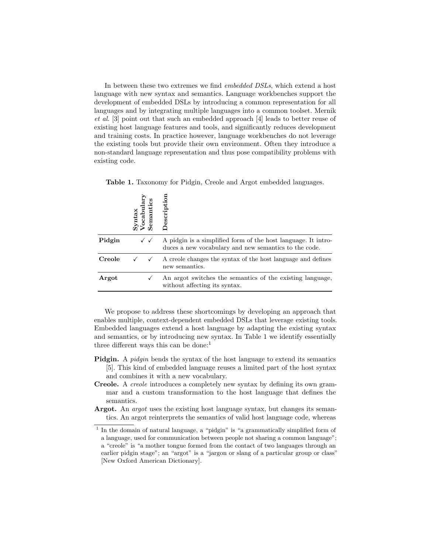In between these two extremes we find embedded DSLs, which extend a host language with new syntax and semantics. Language workbenches support the development of embedded DSLs by introducing a common representation for all languages and by integrating multiple languages into a common toolset. Mernik et al. [\[3\]](#page-23-1) point out that such an embedded approach [\[4\]](#page-23-2) leads to better reuse of existing host language features and tools, and significantly reduces development and training costs. In practice however, language workbenches do not leverage the existing tools but provide their own environment. Often they introduce a non-standard language representation and thus pose compatibility problems with existing code.

<span id="page-1-0"></span>Table 1. Taxonomy for Pidgin, Creole and Argot embedded languages.

|        | emanti<br>$\alpha$ abu<br>$S_{\rm YM}$ | ã<br>escripti                                                                                                          |
|--------|----------------------------------------|------------------------------------------------------------------------------------------------------------------------|
| Pidgin |                                        | A pidgin is a simplified form of the host language. It intro-<br>duces a new vocabulary and new semantics to the code. |
| Creole |                                        | A creole changes the syntax of the host language and defines<br>new semantics.                                         |
| Argot  |                                        | An argot switches the semantics of the existing language,<br>without affecting its syntax.                             |

We propose to address these shortcomings by developing an approach that enables multiple, context-dependent embedded DSLs that leverage existing tools. Embedded languages extend a host language by adapting the existing syntax and semantics, or by introducing new syntax. In [Table 1](#page-1-0) we identify essentially three different ways this can be done: $<sup>1</sup>$  $<sup>1</sup>$  $<sup>1</sup>$ </sup>

- **Pidgin.** A *pidgin* bends the syntax of the host language to extend its semantics [\[5\]](#page-23-3). This kind of embedded language reuses a limited part of the host syntax and combines it with a new vocabulary.
- Creole. A creole introduces a completely new syntax by defining its own grammar and a custom transformation to the host language that defines the semantics.
- Argot. An *argot* uses the existing host language syntax, but changes its semantics. An argot reinterprets the semantics of valid host language code, whereas

<span id="page-1-1"></span><sup>&</sup>lt;sup>1</sup> In the domain of natural language, a "pidgin" is "a grammatically simplified form of a language, used for communication between people not sharing a common language"; a "creole" is "a mother tongue formed from the contact of two languages through an earlier pidgin stage"; an "argot" is a "jargon or slang of a particular group or class" [New Oxford American Dictionary].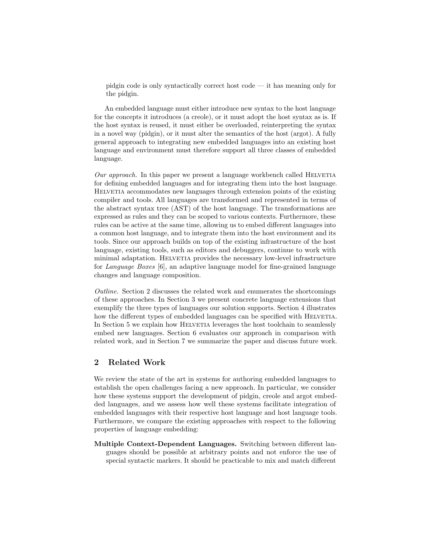pidgin code is only syntactically correct host code — it has meaning only for the pidgin.

An embedded language must either introduce new syntax to the host language for the concepts it introduces (a creole), or it must adopt the host syntax as is. If the host syntax is reused, it must either be overloaded, reinterpreting the syntax in a novel way (pidgin), or it must alter the semantics of the host (argot). A fully general approach to integrating new embedded languages into an existing host language and environment must therefore support all three classes of embedded language.

Our approach. In this paper we present a language workbench called HELVETIA for defining embedded languages and for integrating them into the host language. Helvetia accommodates new languages through extension points of the existing compiler and tools. All languages are transformed and represented in terms of the abstract syntax tree (AST) of the host language. The transformations are expressed as rules and they can be scoped to various contexts. Furthermore, these rules can be active at the same time, allowing us to embed different languages into a common host language, and to integrate them into the host environment and its tools. Since our approach builds on top of the existing infrastructure of the host language, existing tools, such as editors and debuggers, continue to work with minimal adaptation. HELVETIA provides the necessary low-level infrastructure for Language Boxes [\[6\]](#page-23-4), an adaptive language model for fine-grained language changes and language composition.

Outline. [Section 2](#page-2-0) discusses the related work and enumerates the shortcomings of these approaches. In [Section 3](#page-7-0) we present concrete language extensions that exemplify the three types of languages our solution supports. [Section 4](#page-11-0) illustrates how the different types of embedded languages can be specified with HELVETIA. In [Section 5](#page-15-0) we explain how HELVETIA leverages the host toolchain to seamlessly embed new languages. [Section 6](#page-19-0) evaluates our approach in comparison with related work, and in [Section 7](#page-21-0) we summarize the paper and discuss future work.

## <span id="page-2-0"></span>2 Related Work

We review the state of the art in systems for authoring embedded languages to establish the open challenges facing a new approach. In particular, we consider how these systems support the development of pidgin, creole and argot embedded languages, and we assess how well these systems facilitate integration of embedded languages with their respective host language and host language tools. Furthermore, we compare the existing approaches with respect to the following properties of language embedding:

Multiple Context-Dependent Languages. Switching between different languages should be possible at arbitrary points and not enforce the use of special syntactic markers. It should be practicable to mix and match different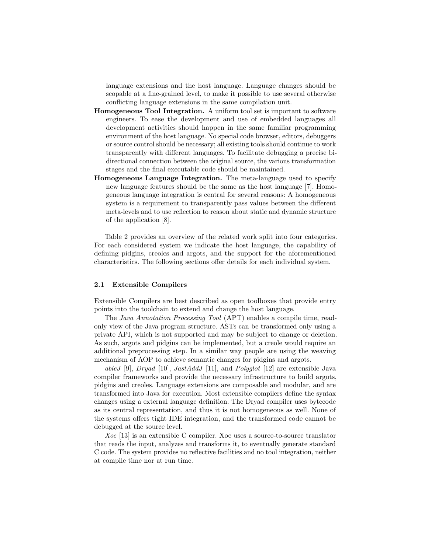language extensions and the host language. Language changes should be scopable at a fine-grained level, to make it possible to use several otherwise conflicting language extensions in the same compilation unit.

- Homogeneous Tool Integration. A uniform tool set is important to software engineers. To ease the development and use of embedded languages all development activities should happen in the same familiar programming environment of the host language. No special code browser, editors, debuggers or source control should be necessary; all existing tools should continue to work transparently with different languages. To facilitate debugging a precise bidirectional connection between the original source, the various transformation stages and the final executable code should be maintained.
- Homogeneous Language Integration. The meta-language used to specify new language features should be the same as the host language [\[7\]](#page-23-5). Homogeneous language integration is central for several reasons: A homogeneous system is a requirement to transparently pass values between the different meta-levels and to use reflection to reason about static and dynamic structure of the application [\[8\]](#page-23-6).

[Table 2](#page-4-0) provides an overview of the related work split into four categories. For each considered system we indicate the host language, the capability of defining pidgins, creoles and argots, and the support for the aforementioned characteristics. The following sections offer details for each individual system.

#### 2.1 Extensible Compilers

Extensible Compilers are best described as open toolboxes that provide entry points into the toolchain to extend and change the host language.

The Java Annotation Processing Tool (APT) enables a compile time, readonly view of the Java program structure. ASTs can be transformed only using a private API, which is not supported and may be subject to change or deletion. As such, argots and pidgins can be implemented, but a creole would require an additional preprocessing step. In a similar way people are using the weaving mechanism of AOP to achieve semantic changes for pidgins and argots.

ableJ [\[9\]](#page-23-7), Dryad [\[10\]](#page-23-8), JastAddJ [\[11\]](#page-23-9), and Polyglot [\[12\]](#page-23-10) are extensible Java compiler frameworks and provide the necessary infrastructure to build argots, pidgins and creoles. Language extensions are composable and modular, and are transformed into Java for execution. Most extensible compilers define the syntax changes using a external language definition. The Dryad compiler uses bytecode as its central representation, and thus it is not homogeneous as well. None of the systems offers tight IDE integration, and the transformed code cannot be debugged at the source level.

Xoc [\[13\]](#page-23-11) is an extensible C compiler. Xoc uses a source-to-source translator that reads the input, analyzes and transforms it, to eventually generate standard C code. The system provides no reflective facilities and no tool integration, neither at compile time nor at run time.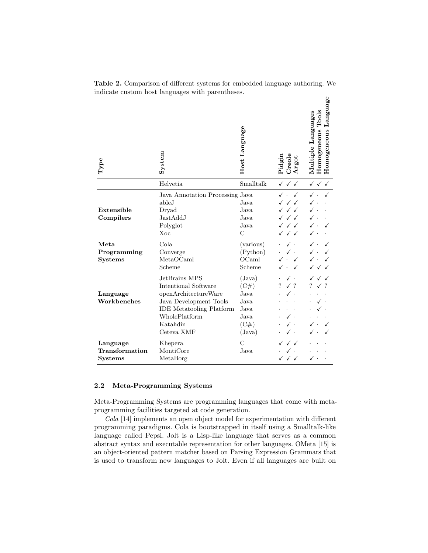| ${\rm Type}$                          | System                                                                                                                                                                  | Host Language                                                                      | $\mathop{\rm Treele}\nolimits$<br>Pidgin<br>$\mathbf{r}\mathbf{g}$ ot | Language<br>Tools<br>Multiple Languages<br>Homogeneous<br>Homogeneous |
|---------------------------------------|-------------------------------------------------------------------------------------------------------------------------------------------------------------------------|------------------------------------------------------------------------------------|-----------------------------------------------------------------------|-----------------------------------------------------------------------|
|                                       | Helvetia                                                                                                                                                                | Smalltalk                                                                          | $\checkmark$ $\checkmark$                                             | $\checkmark$                                                          |
| Extensible<br>Compilers               | Java Annotation Processing Java<br>ableJ<br>Dryad<br>JastAddJ<br>Polyglot<br>Xoc                                                                                        | Java<br>Java<br>Java<br>Java<br>$\rm C$                                            |                                                                       |                                                                       |
| Meta<br>Programming<br>Systems        | Cola<br>Converge<br>MetaOCaml<br>Scheme                                                                                                                                 | (various)<br>(Python)<br>OCaml<br>Scheme                                           |                                                                       |                                                                       |
| Language<br>Workbenches               | JetBrains MPS<br>Intentional Software<br>openArchitectureWare<br>Java Development Tools<br><b>IDE</b> Metatooling Platform<br>WholePlatform<br>Katahdin<br>Ceteva $XMF$ | $(\text{Java})$<br>(C#)<br>Java<br>Java<br>Java<br>Java<br>(C#)<br>$(\text{Java})$ | ?                                                                     |                                                                       |
| Language<br>Transformation<br>Systems | Khepera<br>MontiCore<br>MetaBorg                                                                                                                                        | $\rm C$<br>Java                                                                    |                                                                       |                                                                       |

<span id="page-4-0"></span>Table 2. Comparison of different systems for embedded language authoring. We indicate custom host languages with parentheses.

### 2.2 Meta-Programming Systems

Meta-Programming Systems are programming languages that come with metaprogramming facilities targeted at code generation.

Cola [\[14\]](#page-23-12) implements an open object model for experimentation with different programming paradigms. Cola is bootstrapped in itself using a Smalltalk-like language called Pepsi. Jolt is a Lisp-like language that serves as a common abstract syntax and executable representation for other languages. OMeta [\[15\]](#page-23-13) is an object-oriented pattern matcher based on Parsing Expression Grammars that is used to transform new languages to Jolt. Even if all languages are built on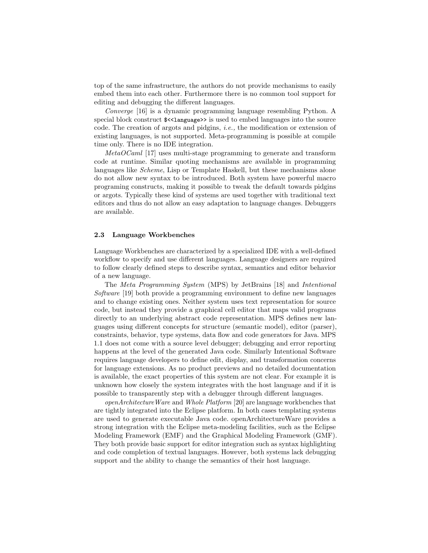top of the same infrastructure, the authors do not provide mechanisms to easily embed them into each other. Furthermore there is no common tool support for editing and debugging the different languages.

Converge [\[16\]](#page-23-14) is a dynamic programming language resembling Python. A special block construct  $\ast$ <language>> is used to embed languages into the source code. The creation of argots and pidgins, i.e., the modification or extension of existing languages, is not supported. Meta-programming is possible at compile time only. There is no IDE integration.

 $MetaOCaml$  [\[17\]](#page-23-15) uses multi-stage programming to generate and transform code at runtime. Similar quoting mechanisms are available in programming languages like Scheme, Lisp or Template Haskell, but these mechanisms alone do not allow new syntax to be introduced. Both system have powerful macro programing constructs, making it possible to tweak the default towards pidgins or argots. Typically these kind of systems are used together with traditional text editors and thus do not allow an easy adaptation to language changes. Debuggers are available.

#### 2.3 Language Workbenches

Language Workbenches are characterized by a specialized IDE with a well-defined workflow to specify and use different languages. Language designers are required to follow clearly defined steps to describe syntax, semantics and editor behavior of a new language.

The Meta Programming System (MPS) by JetBrains [\[18\]](#page-23-16) and Intentional Software [\[19\]](#page-23-17) both provide a programming environment to define new languages and to change existing ones. Neither system uses text representation for source code, but instead they provide a graphical cell editor that maps valid programs directly to an underlying abstract code representation. MPS defines new languages using different concepts for structure (semantic model), editor (parser), constraints, behavior, type systems, data flow and code generators for Java. MPS 1.1 does not come with a source level debugger; debugging and error reporting happens at the level of the generated Java code. Similarly Intentional Software requires language developers to define edit, display, and transformation concerns for language extensions. As no product previews and no detailed documentation is available, the exact properties of this system are not clear. For example it is unknown how closely the system integrates with the host language and if it is possible to transparently step with a debugger through different languages.

openArchitectureWare and Whole Platform [\[20\]](#page-23-18) are language workbenches that are tightly integrated into the Eclipse platform. In both cases templating systems are used to generate executable Java code. openArchitectureWare provides a strong integration with the Eclipse meta-modeling facilities, such as the Eclipse Modeling Framework (EMF) and the Graphical Modeling Framework (GMF). They both provide basic support for editor integration such as syntax highlighting and code completion of textual languages. However, both systems lack debugging support and the ability to change the semantics of their host language.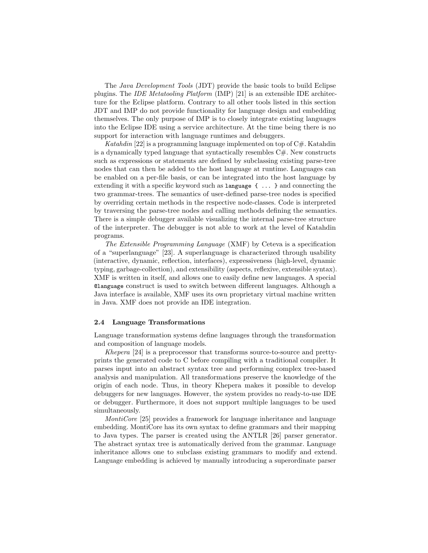The Java Development Tools (JDT) provide the basic tools to build Eclipse plugins. The IDE Metatooling Platform (IMP) [\[21\]](#page-23-19) is an extensible IDE architecture for the Eclipse platform. Contrary to all other tools listed in this section JDT and IMP do not provide functionality for language design and embedding themselves. The only purpose of IMP is to closely integrate existing languages into the Eclipse IDE using a service architecture. At the time being there is no support for interaction with language runtimes and debuggers.

Katahdin [\[22\]](#page-24-0) is a programming language implemented on top of  $C#$ . Katahdin is a dynamically typed language that syntactically resembles  $C#$ . New constructs such as expressions or statements are defined by subclassing existing parse-tree nodes that can then be added to the host language at runtime. Languages can be enabled on a per-file basis, or can be integrated into the host language by extending it with a specific keyword such as language { ... } and connecting the two grammar-trees. The semantics of user-defined parse-tree nodes is specified by overriding certain methods in the respective node-classes. Code is interpreted by traversing the parse-tree nodes and calling methods defining the semantics. There is a simple debugger available visualizing the internal parse-tree structure of the interpreter. The debugger is not able to work at the level of Katahdin programs.

The Extensible Programming Language (XMF) by Ceteva is a specification of a "superlanguage" [\[23\]](#page-24-1). A superlanguage is characterized through usability (interactive, dynamic, reflection, interfaces), expressiveness (high-level, dynamic typing, garbage-collection), and extensibility (aspects, reflexive, extensible syntax). XMF is written in itself, and allows one to easily define new languages. A special @language construct is used to switch between different languages. Although a Java interface is available, XMF uses its own proprietary virtual machine written in Java. XMF does not provide an IDE integration.

#### 2.4 Language Transformations

Language transformation systems define languages through the transformation and composition of language models.

Khepera [\[24\]](#page-24-2) is a preprocessor that transforms source-to-source and prettyprints the generated code to C before compiling with a traditional compiler. It parses input into an abstract syntax tree and performing complex tree-based analysis and manipulation. All transformations preserve the knowledge of the origin of each node. Thus, in theory Khepera makes it possible to develop debuggers for new languages. However, the system provides no ready-to-use IDE or debugger. Furthermore, it does not support multiple languages to be used simultaneously.

MontiCore [\[25\]](#page-24-3) provides a framework for language inheritance and language embedding. MontiCore has its own syntax to define grammars and their mapping to Java types. The parser is created using the ANTLR [\[26\]](#page-24-4) parser generator. The abstract syntax tree is automatically derived from the grammar. Language inheritance allows one to subclass existing grammars to modify and extend. Language embedding is achieved by manually introducing a superordinate parser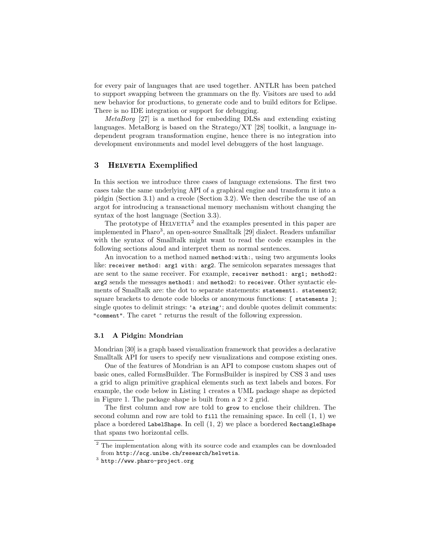for every pair of languages that are used together. ANTLR has been patched to support swapping between the grammars on the fly. Visitors are used to add new behavior for productions, to generate code and to build editors for Eclipse. There is no IDE integration or support for debugging.

MetaBorg [\[27\]](#page-24-5) is a method for embedding DLSs and extending existing languages. MetaBorg is based on the Stratego/XT [\[28\]](#page-24-6) toolkit, a language independent program transformation engine, hence there is no integration into development environments and model level debuggers of the host language.

## <span id="page-7-0"></span>3 HELVETIA Exemplified

In this section we introduce three cases of language extensions. The first two cases take the same underlying API of a graphical engine and transform it into a pidgin [\(Section 3.1\)](#page-7-1) and a creole [\(Section 3.2\)](#page-9-0). We then describe the use of an argot for introducing a transactional memory mechanism without changing the syntax of the host language [\(Section 3.3\)](#page-10-0).

The prototype of  $HEIVETIA<sup>2</sup>$  $HEIVETIA<sup>2</sup>$  $HEIVETIA<sup>2</sup>$  and the examples presented in this paper are implemented in Pharo<sup>[3](#page-7-3)</sup>, an open-source Smalltalk [\[29\]](#page-24-7) dialect. Readers unfamiliar with the syntax of Smalltalk might want to read the code examples in the following sections aloud and interpret them as normal sentences.

An invocation to a method named method:with:, using two arguments looks like: receiver method: arg1 with: arg2. The semicolon separates messages that are sent to the same receiver. For example, receiver method1: arg1; method2: arg2 sends the messages method1: and method2: to receiver. Other syntactic elements of Smalltalk are: the dot to separate statements: statement1. statement2; square brackets to denote code blocks or anonymous functions: [ statements ]; single quotes to delimit strings: 'a string'; and double quotes delimit comments: "comment". The caret  $\hat{\ }$  returns the result of the following expression.

#### <span id="page-7-1"></span>3.1 A Pidgin: Mondrian

Mondrian [\[30\]](#page-24-8) is a graph based visualization framework that provides a declarative Smalltalk API for users to specify new visualizations and compose existing ones.

One of the features of Mondrian is an API to compose custom shapes out of basic ones, called FormsBuilder. The FormsBuilder is inspired by CSS 3 and uses a grid to align primitive graphical elements such as text labels and boxes. For example, the code below in [Listing 1](#page-8-0) creates a UML package shape as depicted in [Figure 1.](#page-8-1) The package shape is built from a  $2 \times 2$  grid.

The first column and row are told to grow to enclose their children. The second column and row are told to fill the remaining space. In cell  $(1, 1)$  we place a bordered LabelShape. In cell  $(1, 2)$  we place a bordered RectangleShape that spans two horizontal cells.

<span id="page-7-2"></span> $^{\rm 2}$  The implementation along with its source code and examples can be downloaded from <http://scg.unibe.ch/research/helvetia>.

<span id="page-7-3"></span> $^3$  <http://www.pharo-project.org>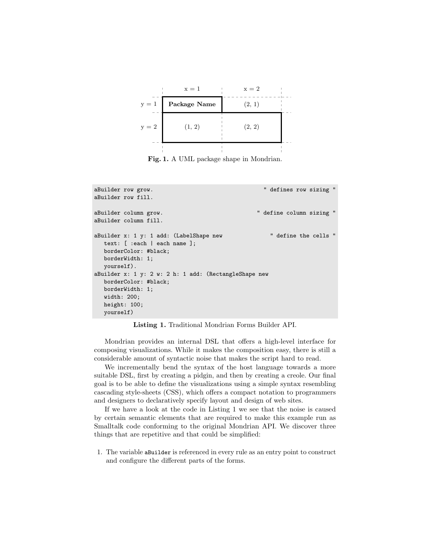<span id="page-8-1"></span>

Fig. 1. A UML package shape in Mondrian.

```
aBuilder row grow. " defines row sizing "
aBuilder row fill.
aBuilder column grow. " define column sizing "
aBuilder column fill.
aBuilder x: 1 y: 1 add: (LabelShape new " define the cells "
  text: [ :each | each name ];
  borderColor: #black;
  borderWidth: 1;
  yourself).
aBuilder x: 1 y: 2 w: 2 h: 1 add: (RectangleShape new
  borderColor: #black;
  borderWidth: 1;
  width: 200;
  height: 100;
  yourself)
```
Listing 1. Traditional Mondrian Forms Builder API.

Mondrian provides an internal DSL that offers a high-level interface for composing visualizations. While it makes the composition easy, there is still a considerable amount of syntactic noise that makes the script hard to read.

We incrementally bend the syntax of the host language towards a more suitable DSL, first by creating a pidgin, and then by creating a creole. Our final goal is to be able to define the visualizations using a simple syntax resembling cascading style-sheets (CSS), which offers a compact notation to programmers and designers to declaratively specify layout and design of web sites.

If we have a look at the code in [Listing 1](#page-8-0) we see that the noise is caused by certain semantic elements that are required to make this example run as Smalltalk code conforming to the original Mondrian API. We discover three things that are repetitive and that could be simplified:

1. The variable aBuilder is referenced in every rule as an entry point to construct and configure the different parts of the forms.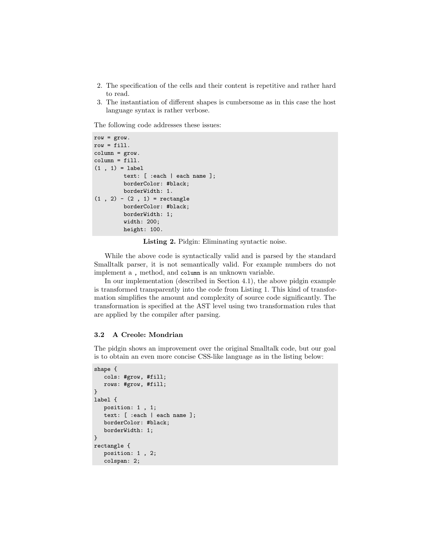- 2. The specification of the cells and their content is repetitive and rather hard to read.
- 3. The instantiation of different shapes is cumbersome as in this case the host language syntax is rather verbose.

The following code addresses these issues:

```
row = grow.row = fill.
column = grow.column = fill.
(1, 1) = label
         text: [ :each | each name ];
         borderColor: #black;
         borderWidth: 1.
(1, 2) - (2, 1) = rectangle
         borderColor: #black;
         borderWidth: 1;
         width: 200;
         height: 100.
```
Listing 2. Pidgin: Eliminating syntactic noise.

While the above code is syntactically valid and is parsed by the standard Smalltalk parser, it is not semantically valid. For example numbers do not implement a , method, and column is an unknown variable.

In our implementation (described in [Section 4.1\)](#page-11-1), the above pidgin example is transformed transparently into the code from [Listing 1.](#page-8-0) This kind of transformation simplifies the amount and complexity of source code significantly. The transformation is specified at the AST level using two transformation rules that are applied by the compiler after parsing.

### <span id="page-9-0"></span>3.2 A Creole: Mondrian

The pidgin shows an improvement over the original Smalltalk code, but our goal is to obtain an even more concise CSS-like language as in the listing below:

```
shape {
   cols: #grow, #fill;
   rows: #grow, #fill;
}
label {
   position: 1 , 1;
   text: [ :each | each name ];
   borderColor: #black;
   borderWidth: 1;
}
rectangle {
   position: 1 , 2;
   colspan: 2;
```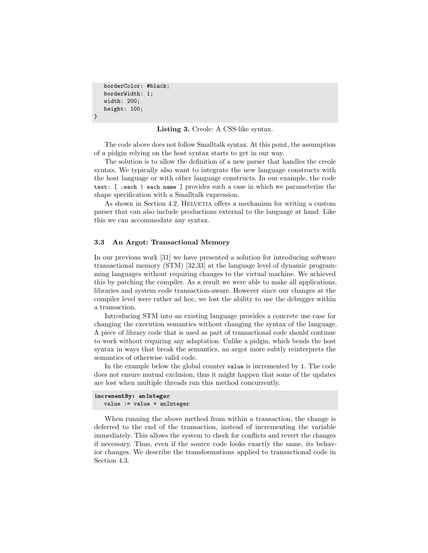```
borderColor: #black;
borderWidth: 1;
width: 200;
height: 100;
```
}

#### Listing 3. Creole: A CSS-like syntax.

The code above does not follow Smalltalk syntax. At this point, the assumption of a pidgin relying on the host syntax starts to get in our way.

The solution is to allow the definition of a new parser that handles the creole syntax. We typically also want to integrate the new language constructs with the host language or with other language constructs. In our example, the code text: [ :each | each name ] provides such a case in which we parameterize the shape specification with a Smalltalk expression.

As shown in [Section 4.2,](#page-12-0) HELVETIA offers a mechanism for writing a custom parser that can also include productions external to the language at hand. Like this we can accommodate any syntax.

### <span id="page-10-0"></span>3.3 An Argot: Transactional Memory

In our previous work [\[31\]](#page-24-9) we have presented a solution for introducing software transactional memory (STM) [\[32](#page-24-10)[,33\]](#page-24-11) at the language level of dynamic programming languages without requiring changes to the virtual machine. We achieved this by patching the compiler. As a result we were able to make all applications, libraries and system code transaction-aware. However since our changes at the compiler level were rather ad hoc, we lost the ability to use the debugger within a transaction.

Introducing STM into an existing language provides a concrete use case for changing the execution semantics without changing the syntax of the language. A piece of library code that is used as part of transactional code should continue to work without requiring any adaptation. Unlike a pidgin, which bends the host syntax in ways that break the semantics, an argot more subtly reinterprets the semantics of otherwise valid code.

In the example below the global counter value is incremented by 1. The code does not ensure mutual exclusion, thus it might happen that some of the updates are lost when multiple threads run this method concurrently.

```
incrementBy: anInteger
   value := value + anInteger
```
When running the above method from within a transaction, the change is deferred to the end of the transaction, instead of incrementing the variable immediately. This allows the system to check for conflicts and revert the changes if necessary. Thus, even if the source code looks exactly the same, its behavior changes. We describe the transformations applied to transactional code in [Section 4.3.](#page-14-0)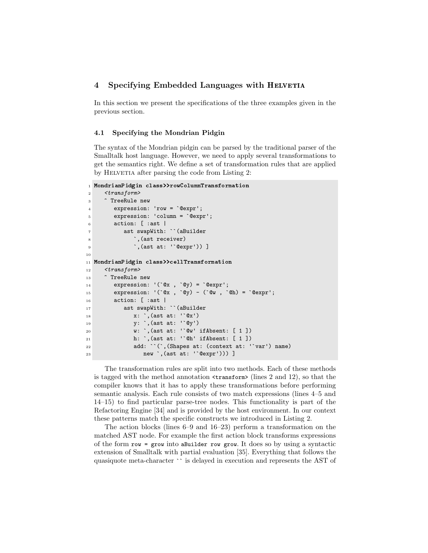## <span id="page-11-0"></span>4 Specifying Embedded Languages with HELVETIA

In this section we present the specifications of the three examples given in the previous section.

### <span id="page-11-1"></span>4.1 Specifying the Mondrian Pidgin

The syntax of the Mondrian pidgin can be parsed by the traditional parser of the Smalltalk host language. However, we need to apply several transformations to get the semantics right. We define a set of transformation rules that are applied by HELVETIA after parsing the code from [Listing 2:](#page-9-1)

```
1 MondrianPidgin class>>rowColumnTransformation
2 <transform>
3 ^ TreeRule new
4 expression: 'row = `@expr';
5 expression: 'column = `@expr';
6 action: [ :ast |
7 ast swapWith: ``(aBuilder
8 `,(ast receiver)
9 `,(ast at: '`@expr')) ]
10
11 MondrianPidgin class>>cellTransformation
12 <transform>
13 ^ TreeRule new
14 expression: '(`@x , `@y) = `@expr';
15 expression: C^* (C^*, C^*) - C^* (C^*, C^*) = C^* (C^*;
16 action: [ :ast |
17 ast swapWith: `` (aBuilder
18 x: `, (ast at: '`@x')
19 y: ', (ast at: ''0y')
20 w: `,(ast at: '`@w' ifAbsent: [ 1 ])
21 h: `,(ast at: '`@h' ifAbsent: [ 1 ])
22 add: ``(`,(Shapes at: (context at: '`var') name)
23 new `,(ast at: '`@expr'))) ]
```
The transformation rules are split into two methods. Each of these methods is tagged with the method annotation <transform> (lines 2 and 12), so that the compiler knows that it has to apply these transformations before performing semantic analysis. Each rule consists of two match expressions (lines 4–5 and 14–15) to find particular parse-tree nodes. This functionality is part of the Refactoring Engine [\[34\]](#page-24-12) and is provided by the host environment. In our context these patterns match the specific constructs we introduced in [Listing 2.](#page-9-1)

The action blocks (lines 6–9 and 16–23) perform a transformation on the matched AST node. For example the first action block transforms expressions of the form row = grow into aBuilder row grow. It does so by using a syntactic extension of Smalltalk with partial evaluation [\[35\]](#page-24-13). Everything that follows the quasiquote meta-character `` is delayed in execution and represents the AST of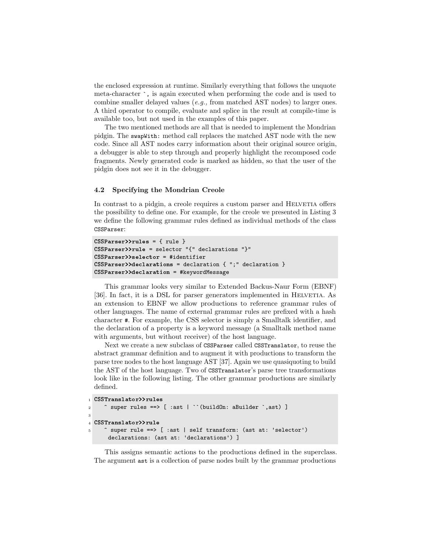the enclosed expression at runtime. Similarly everything that follows the unquote meta-character `, is again executed when performing the code and is used to combine smaller delayed values (e.g., from matched AST nodes) to larger ones. A third operator to compile, evaluate and splice in the result at compile-time is available too, but not used in the examples of this paper.

The two mentioned methods are all that is needed to implement the Mondrian pidgin. The swapWith: method call replaces the matched AST node with the new code. Since all AST nodes carry information about their original source origin, a debugger is able to step through and properly highlight the recomposed code fragments. Newly generated code is marked as hidden, so that the user of the pidgin does not see it in the debugger.

#### <span id="page-12-0"></span>4.2 Specifying the Mondrian Creole

In contrast to a pidgin, a creole requires a custom parser and HELVETIA offers the possibility to define one. For example, for the creole we presented in [Listing 3](#page-9-2) we define the following grammar rules defined as individual methods of the class CSSParser:

```
CSSParser>>rules = { rule }
CSSParser>>rule = selector "{" declarations "}"
CSSParser>>selector = #identifier
CSSParser>>declarations = declaration { ";" declaration }
CSSParser>>declaration = #keywordMessage
```
This grammar looks very similar to Extended Backus-Naur Form (EBNF) [\[36\]](#page-24-14). In fact, it is a DSL for parser generators implemented in HELVETIA. As an extension to EBNF we allow productions to reference grammar rules of other languages. The name of external grammar rules are prefixed with a hash character #. For example, the CSS selector is simply a Smalltalk identifier, and the declaration of a property is a keyword message (a Smalltalk method name with arguments, but without receiver) of the host language.

Next we create a new subclass of CSSParser called CSSTranslator, to reuse the abstract grammar definition and to augment it with productions to transform the parse tree nodes to the host language AST [\[37\]](#page-24-15). Again we use quasiquoting to build the AST of the host language. Two of CSSTranslator's parse tree transformations look like in the following listing. The other grammar productions are similarly defined.

```
1 CSSTranslator>>rules
2 \hat{i} super rules ==> [ :ast | \hat{i} (buildOn: aBuilder \hat{i}, ast) ]
3
4 CSSTranslator>>rule
     5 ^ super rule ==> [ :ast | self transform: (ast at: 'selector')
      declarations: (ast at: 'declarations') ]
```
This assigns semantic actions to the productions defined in the superclass. The argument ast is a collection of parse nodes built by the grammar productions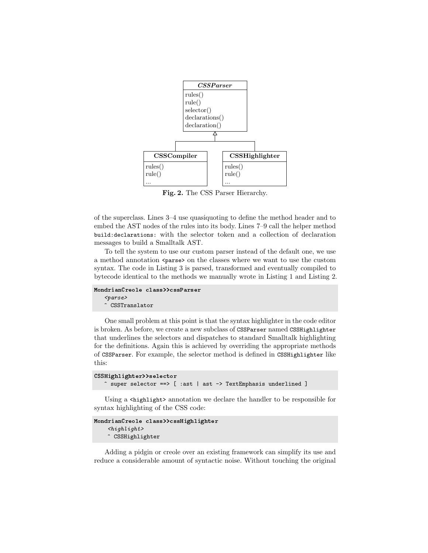

Fig. 2. The CSS Parser Hierarchy.

of the superclass. Lines 3–4 use quasiquoting to define the method header and to embed the AST nodes of the rules into its body. Lines 7–9 call the helper method build:declarations: with the selector token and a collection of declaration messages to build a Smalltalk AST.

To tell the system to use our custom parser instead of the default one, we use a method annotation <parse> on the classes where we want to use the custom syntax. The code in [Listing 3](#page-9-2) is parsed, transformed and eventually compiled to bytecode identical to the methods we manually wrote in [Listing 1](#page-8-0) and [Listing 2.](#page-9-1)

```
MondrianCreole class>>cssParser
   <parse>
    CSSTranslator
```
One small problem at this point is that the syntax highlighter in the code editor is broken. As before, we create a new subclass of CSSParser named CSSHighlighter that underlines the selectors and dispatches to standard Smalltalk highlighting for the definitions. Again this is achieved by overriding the appropriate methods of CSSParser. For example, the selector method is defined in CSSHighlighter like this:

```
CSSHighlighter>>selector
   ^ super selector ==> [ :ast | ast -> TextEmphasis underlined ]
```
Using a  $\epsilon$  highlight annotation we declare the handler to be responsible for syntax highlighting of the CSS code:

```
MondrianCreole class>>cssHighlighter
    <highlight>
    ^ CSSHighlighter
```
Adding a pidgin or creole over an existing framework can simplify its use and reduce a considerable amount of syntactic noise. Without touching the original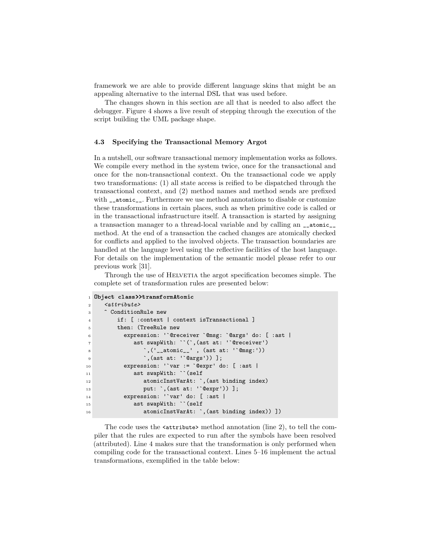framework we are able to provide different language skins that might be an appealing alternative to the internal DSL that was used before.

The changes shown in this section are all that is needed to also affect the debugger. [Figure 4](#page-17-0) shows a live result of stepping through the execution of the script building the UML package shape.

### <span id="page-14-0"></span>4.3 Specifying the Transactional Memory Argot

In a nutshell, our software transactional memory implementation works as follows. We compile every method in the system twice, once for the transactional and once for the non-transactional context. On the transactional code we apply two transformations: (1) all state access is reified to be dispatched through the transactional context, and (2) method names and method sends are prefixed with  $\text{\_}$ atomic<sub>--</sub>. Furthermore we use method annotations to disable or customize these transformations in certain places, such as when primitive code is called or in the transactional infrastructure itself. A transaction is started by assigning a transaction manager to a thread-local variable and by calling an \_\_atomic\_\_ method. At the end of a transaction the cached changes are atomically checked for conflicts and applied to the involved objects. The transaction boundaries are handled at the language level using the reflective facilities of the host language. For details on the implementation of the semantic model please refer to our previous work [\[31\]](#page-24-9).

Through the use of HELVETIA the argot specification becomes simple. The complete set of transformation rules are presented below:

```
1 Object class>>transformAtomic
2 <attribute>
3 ^ ConditionRule new
4 if: [ :context | context isTransactional ]
5 then: (TreeRule new
6 expression: '`@receiver `@msg: `@args' do: [ :ast |
7 ast swapWith: ``(`,(ast at: '`@receiver')
8 \ldots \ldots \ldots \ldots \ldots \ldots \ldots \ldots \ldots \ldots \ldots \ldots \ldots \ldots \ldots \ldots \ldots \ldots \ldots \ldots \ldots \ldots \ldots \ldots \ldots \ldots \ldots \ldots \ldots \ldots \ldots \ldots \ldots \ldots \ldots \ldots 9 `,(ast at: '`@args')) ];
10 expression: '`var := `@expr' do: [ :ast |
11 ast swapWith: \degree (self
12 atomicInstVarAt: `, (ast binding index)
13 put: \cdot, (ast at: \cdot \circ expr')) ];
14 expression: '`var' do: [ :ast |
15 ast swapWith: `` (self
16 atomicInstVarAt: `,(ast binding index)) ])
```
The code uses the  $\lambda$  sattribute method annotation (line 2), to tell the compiler that the rules are expected to run after the symbols have been resolved (attributed). Line 4 makes sure that the transformation is only performed when compiling code for the transactional context. Lines 5–16 implement the actual transformations, exemplified in the table below: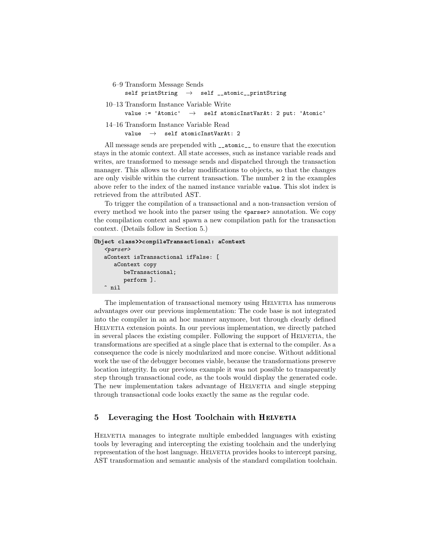```
6–9 Transform Message Sends
      self printString \rightarrow self __atomic__printString
10–13 Transform Instance Variable Write
      value := 'Atomic' \rightarrow self atomicInstVarAt: 2 put: 'Atomic'
14–16 Transform Instance Variable Read
      value \rightarrow self atomicInstVarAt: 2
```
All message sends are prepended with \_\_atomic\_\_ to ensure that the execution stays in the atomic context. All state accesses, such as instance variable reads and writes, are transformed to message sends and dispatched through the transaction manager. This allows us to delay modifications to objects, so that the changes are only visible within the current transaction. The number 2 in the examples above refer to the index of the named instance variable value. This slot index is retrieved from the attributed AST.

To trigger the compilation of a transactional and a non-transaction version of every method we hook into the parser using the <parser> annotation. We copy the compilation context and spawn a new compilation path for the transaction context. (Details follow in [Section 5.](#page-15-0))

```
Object class>>compileTransactional: aContext
  <parser>
  aContext isTransactional ifFalse: [
      aContext copy
         beTransactional;
         perform ].
   ^ nil
```
The implementation of transactional memory using HELVETIA has numerous advantages over our previous implementation: The code base is not integrated into the compiler in an ad hoc manner anymore, but through clearly defined Helvetia extension points. In our previous implementation, we directly patched in several places the existing compiler. Following the support of HELVETIA, the transformations are specified at a single place that is external to the compiler. As a consequence the code is nicely modularized and more concise. Without additional work the use of the debugger becomes viable, because the transformations preserve location integrity. In our previous example it was not possible to transparently step through transactional code, as the tools would display the generated code. The new implementation takes advantage of HELVETIA and single stepping through transactional code looks exactly the same as the regular code.

## <span id="page-15-0"></span>5 Leveraging the Host Toolchain with HELVETIA

Helvetia manages to integrate multiple embedded languages with existing tools by leveraging and intercepting the existing toolchain and the underlying representation of the host language. HELVETIA provides hooks to intercept parsing, AST transformation and semantic analysis of the standard compilation toolchain.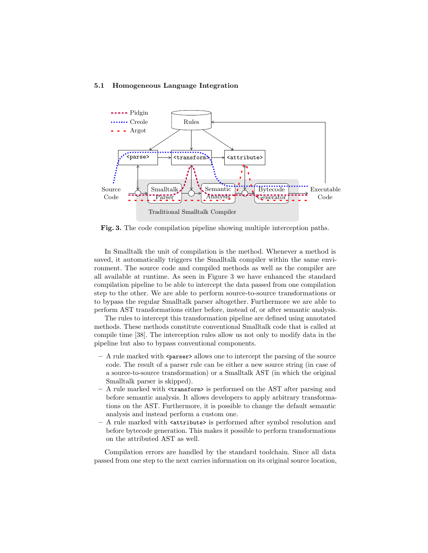#### <span id="page-16-1"></span>5.1 Homogeneous Language Integration

<span id="page-16-0"></span>

Fig. 3. The code compilation pipeline showing multiple interception paths.

In Smalltalk the unit of compilation is the method. Whenever a method is saved, it automatically triggers the Smalltalk compiler within the same environment. The source code and compiled methods as well as the compiler are all available at runtime. As seen in [Figure 3](#page-16-0) we have enhanced the standard compilation pipeline to be able to intercept the data passed from one compilation step to the other. We are able to perform source-to-source transformations or to bypass the regular Smalltalk parser altogether. Furthermore we are able to perform AST transformations either before, instead of, or after semantic analysis.

The rules to intercept this transformation pipeline are defined using annotated methods. These methods constitute conventional Smalltalk code that is called at compile time [\[38\]](#page-24-16). The interception rules allow us not only to modify data in the pipeline but also to bypass conventional components.

- A rule marked with <parser> allows one to intercept the parsing of the source code. The result of a parser rule can be either a new source string (in case of a source-to-source transformation) or a Smalltalk AST (in which the original Smalltalk parser is skipped).
- A rule marked with <transform> is performed on the AST after parsing and before semantic analysis. It allows developers to apply arbitrary transformations on the AST. Furthermore, it is possible to change the default semantic analysis and instead perform a custom one.
- A rule marked with <attribute> is performed after symbol resolution and before bytecode generation. This makes it possible to perform transformations on the attributed AST as well.

Compilation errors are handled by the standard toolchain. Since all data passed from one step to the next carries information on its original source location,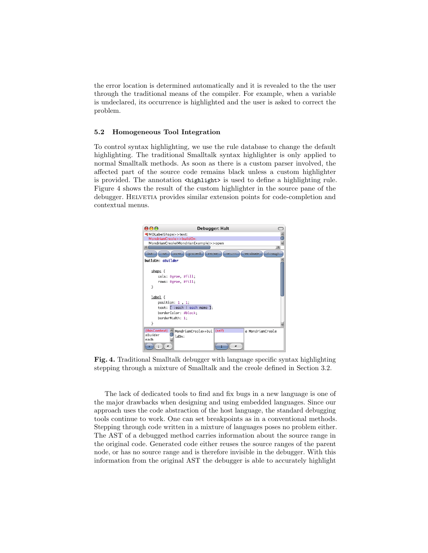the error location is determined automatically and it is revealed to the the user through the traditional means of the compiler. For example, when a variable is undeclared, its occurrence is highlighted and the user is asked to correct the problem.

### 5.2 Homogeneous Tool Integration

To control syntax highlighting, we use the rule database to change the default highlighting. The traditional Smalltalk syntax highlighter is only applied to normal Smalltalk methods. As soon as there is a custom parser involved, the affected part of the source code remains black unless a custom highlighter is provided. The annotation <highlight> is used to define a highlighting rule. [Figure 4](#page-17-0) shows the result of the custom highlighter in the source pane of the debugger. Helvetia provides similar extension points for code-completion and contextual menus.

<span id="page-17-0"></span>

Fig. 4. Traditional Smalltalk debugger with language specific syntax highlighting stepping through a mixture of Smalltalk and the creole defined in [Section 3.2.](#page-9-0)

The lack of dedicated tools to find and fix bugs in a new language is one of the major drawbacks when designing and using embedded languages. Since our approach uses the code abstraction of the host language, the standard debugging tools continue to work. One can set breakpoints as in a conventional methods. Stepping through code written in a mixture of languages poses no problem either. The AST of a debugged method carries information about the source range in the original code. Generated code either reuses the source ranges of the parent node, or has no source range and is therefore invisible in the debugger. With this information from the original AST the debugger is able to accurately highlight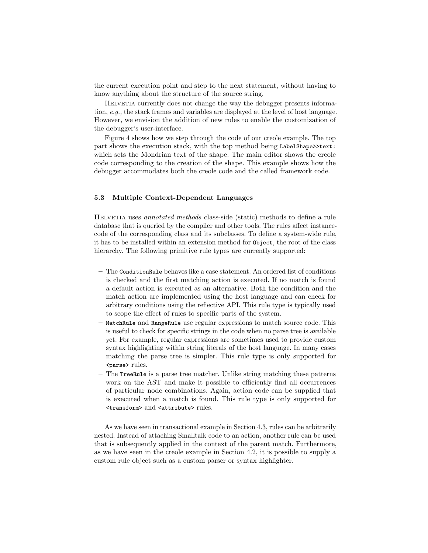the current execution point and step to the next statement, without having to know anything about the structure of the source string.

HELVETIA currently does not change the way the debugger presents information, e.g., the stack frames and variables are displayed at the level of host language. However, we envision the addition of new rules to enable the customization of the debugger's user-interface.

[Figure 4](#page-17-0) shows how we step through the code of our creole example. The top part shows the execution stack, with the top method being LabelShape>>text: which sets the Mondrian text of the shape. The main editor shows the creole code corresponding to the creation of the shape. This example shows how the debugger accommodates both the creole code and the called framework code.

### 5.3 Multiple Context-Dependent Languages

HELVETIA uses *annotated methods* class-side (static) methods to define a rule database that is queried by the compiler and other tools. The rules affect instancecode of the corresponding class and its subclasses. To define a system-wide rule, it has to be installed within an extension method for Object, the root of the class hierarchy. The following primitive rule types are currently supported:

- The ConditionRule behaves like a case statement. An ordered list of conditions is checked and the first matching action is executed. If no match is found a default action is executed as an alternative. Both the condition and the match action are implemented using the host language and can check for arbitrary conditions using the reflective API. This rule type is typically used to scope the effect of rules to specific parts of the system.
- MatchRule and RangeRule use regular expressions to match source code. This is useful to check for specific strings in the code when no parse tree is available yet. For example, regular expressions are sometimes used to provide custom syntax highlighting within string literals of the host language. In many cases matching the parse tree is simpler. This rule type is only supported for <parse> rules.
- The TreeRule is a parse tree matcher. Unlike string matching these patterns work on the AST and make it possible to efficiently find all occurrences of particular node combinations. Again, action code can be supplied that is executed when a match is found. This rule type is only supported for <transform> and <attribute> rules.

As we have seen in transactional example in [Section 4.3,](#page-14-0) rules can be arbitrarily nested. Instead of attaching Smalltalk code to an action, another rule can be used that is subsequently applied in the context of the parent match. Furthermore, as we have seen in the creole example in [Section 4.2,](#page-12-0) it is possible to supply a custom rule object such as a custom parser or syntax highlighter.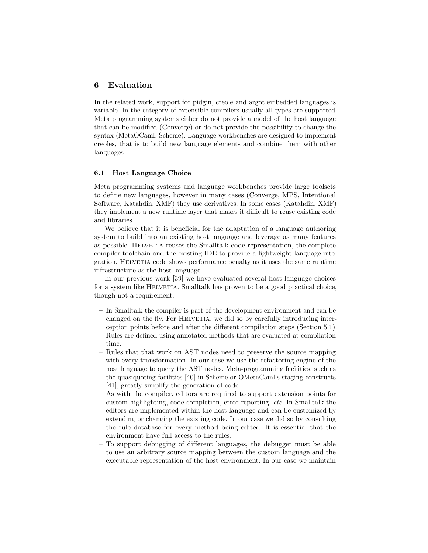## <span id="page-19-0"></span>6 Evaluation

In the related work, support for pidgin, creole and argot embedded languages is variable. In the category of extensible compilers usually all types are supported. Meta programming systems either do not provide a model of the host language that can be modified (Converge) or do not provide the possibility to change the syntax (MetaOCaml, Scheme). Language workbenches are designed to implement creoles, that is to build new language elements and combine them with other languages.

### 6.1 Host Language Choice

Meta programming systems and language workbenches provide large toolsets to define new languages, however in many cases (Converge, MPS, Intentional Software, Katahdin, XMF) they use derivatives. In some cases (Katahdin, XMF) they implement a new runtime layer that makes it difficult to reuse existing code and libraries.

We believe that it is beneficial for the adaptation of a language authoring system to build into an existing host language and leverage as many features as possible. HELVETIA reuses the Smalltalk code representation, the complete compiler toolchain and the existing IDE to provide a lightweight language integration. Helvetia code shows performance penalty as it uses the same runtime infrastructure as the host language.

In our previous work [\[39\]](#page-24-17) we have evaluated several host language choices for a system like HELVETIA. Smalltalk has proven to be a good practical choice, though not a requirement:

- In Smalltalk the compiler is part of the development environment and can be changed on the fly. For HELVETIA, we did so by carefully introducing interception points before and after the different compilation steps [\(Section 5.1\)](#page-16-1). Rules are defined using annotated methods that are evaluated at compilation time.
- Rules that that work on AST nodes need to preserve the source mapping with every transformation. In our case we use the refactoring engine of the host language to query the AST nodes. Meta-programming facilities, such as the quasiquoting facilities [\[40\]](#page-24-18) in Scheme or OMetaCaml's staging constructs [\[41\]](#page-24-19), greatly simplify the generation of code.
- As with the compiler, editors are required to support extension points for custom highlighting, code completion, error reporting, etc. In Smalltalk the editors are implemented within the host language and can be customized by extending or changing the existing code. In our case we did so by consulting the rule database for every method being edited. It is essential that the environment have full access to the rules.
- To support debugging of different languages, the debugger must be able to use an arbitrary source mapping between the custom language and the executable representation of the host environment. In our case we maintain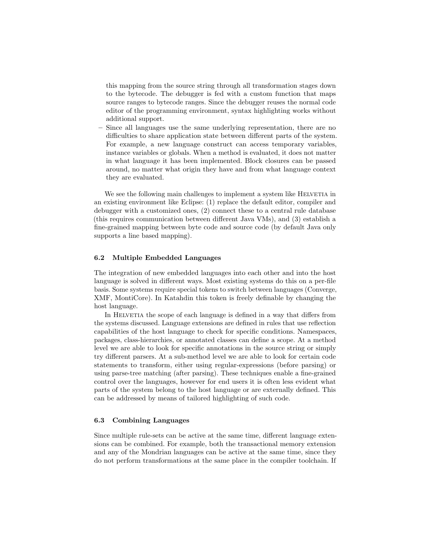this mapping from the source string through all transformation stages down to the bytecode. The debugger is fed with a custom function that maps source ranges to bytecode ranges. Since the debugger reuses the normal code editor of the programming environment, syntax highlighting works without additional support.

– Since all languages use the same underlying representation, there are no difficulties to share application state between different parts of the system. For example, a new language construct can access temporary variables, instance variables or globals. When a method is evaluated, it does not matter in what language it has been implemented. Block closures can be passed around, no matter what origin they have and from what language context they are evaluated.

We see the following main challenges to implement a system like HELVETIA in an existing environment like Eclipse: (1) replace the default editor, compiler and debugger with a customized ones, (2) connect these to a central rule database (this requires communication between different Java VMs), and (3) establish a fine-grained mapping between byte code and source code (by default Java only supports a line based mapping).

### 6.2 Multiple Embedded Languages

The integration of new embedded languages into each other and into the host language is solved in different ways. Most existing systems do this on a per-file basis. Some systems require special tokens to switch between languages (Converge, XMF, MontiCore). In Katahdin this token is freely definable by changing the host language.

In HELVETIA the scope of each language is defined in a way that differs from the systems discussed. Language extensions are defined in rules that use reflection capabilities of the host language to check for specific conditions. Namespaces, packages, class-hierarchies, or annotated classes can define a scope. At a method level we are able to look for specific annotations in the source string or simply try different parsers. At a sub-method level we are able to look for certain code statements to transform, either using regular-expressions (before parsing) or using parse-tree matching (after parsing). These techniques enable a fine-grained control over the languages, however for end users it is often less evident what parts of the system belong to the host language or are externally defined. This can be addressed by means of tailored highlighting of such code.

### 6.3 Combining Languages

Since multiple rule-sets can be active at the same time, different language extensions can be combined. For example, both the transactional memory extension and any of the Mondrian languages can be active at the same time, since they do not perform transformations at the same place in the compiler toolchain. If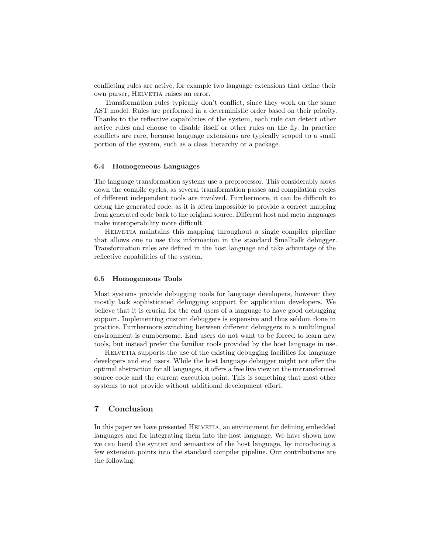conflicting rules are active, for example two language extensions that define their own parser, HELVETIA raises an error.

Transformation rules typically don't conflict, since they work on the same AST model. Rules are performed in a deterministic order based on their priority. Thanks to the reflective capabilities of the system, each rule can detect other active rules and choose to disable itself or other rules on the fly. In practice conflicts are rare, because language extensions are typically scoped to a small portion of the system, such as a class hierarchy or a package.

#### 6.4 Homogeneous Languages

The language transformation systems use a preprocessor. This considerably slows down the compile cycles, as several transformation passes and compilation cycles of different independent tools are involved. Furthermore, it can be difficult to debug the generated code, as it is often impossible to provide a correct mapping from generated code back to the original source. Different host and meta languages make interoperability more difficult.

Helvetia maintains this mapping throughout a single compiler pipeline that allows one to use this information in the standard Smalltalk debugger. Transformation rules are defined in the host language and take advantage of the reflective capabilities of the system.

#### 6.5 Homogeneous Tools

Most systems provide debugging tools for language developers, however they mostly lack sophisticated debugging support for application developers. We believe that it is crucial for the end users of a language to have good debugging support. Implementing custom debuggers is expensive and thus seldom done in practice. Furthermore switching between different debuggers in a multilingual environment is cumbersome. End users do not want to be forced to learn new tools, but instead prefer the familiar tools provided by the host language in use.

HELVETIA supports the use of the existing debugging facilities for language developers and end users. While the host language debugger might not offer the optimal abstraction for all languages, it offers a free live view on the untransformed source code and the current execution point. This is something that most other systems to not provide without additional development effort.

## <span id="page-21-0"></span>7 Conclusion

In this paper we have presented HELVETIA, an environment for defining embedded languages and for integrating them into the host language. We have shown how we can bend the syntax and semantics of the host language, by introducing a few extension points into the standard compiler pipeline. Our contributions are the following: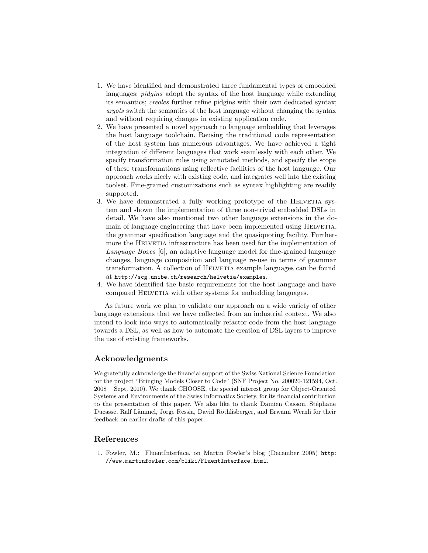- 1. We have identified and demonstrated three fundamental types of embedded languages: pidgins adopt the syntax of the host language while extending its semantics; creoles further refine pidgins with their own dedicated syntax; argots switch the semantics of the host language without changing the syntax and without requiring changes in existing application code.
- 2. We have presented a novel approach to language embedding that leverages the host language toolchain. Reusing the traditional code representation of the host system has numerous advantages. We have achieved a tight integration of different languages that work seamlessly with each other. We specify transformation rules using annotated methods, and specify the scope of these transformations using reflective facilities of the host language. Our approach works nicely with existing code, and integrates well into the existing toolset. Fine-grained customizations such as syntax highlighting are readily supported.
- 3. We have demonstrated a fully working prototype of the HELVETIA system and shown the implementation of three non-trivial embedded DSLs in detail. We have also mentioned two other language extensions in the domain of language engineering that have been implemented using HELVETIA, the grammar specification language and the quasiquoting facility. Furthermore the HELVETIA infrastructure has been used for the implementation of Language Boxes [\[6\]](#page-23-4), an adaptive language model for fine-grained language changes, language composition and language re-use in terms of grammar transformation. A collection of HELVETIA example languages can be found at <http://scg.unibe.ch/research/helvetia/examples>.
- 4. We have identified the basic requirements for the host language and have compared HELVETIA with other systems for embedding languages.

As future work we plan to validate our approach on a wide variety of other language extensions that we have collected from an industrial context. We also intend to look into ways to automatically refactor code from the host language towards a DSL, as well as how to automate the creation of DSL layers to improve the use of existing frameworks.

## Acknowledgments

We gratefully acknowledge the financial support of the Swiss National Science Foundation for the project "Bringing Models Closer to Code" (SNF Project No. 200020-121594, Oct. 2008 – Sept. 2010). We thank CHOOSE, the special interest group for Object-Oriented Systems and Environments of the Swiss Informatics Society, for its financial contribution to the presentation of this paper. We also like to thank Damien Cassou, Stéphane Ducasse, Ralf Lämmel, Jorge Ressia, David Röthlisberger, and Erwann Wernli for their feedback on earlier drafts of this paper.

## References

<span id="page-22-0"></span>1. Fowler, M.: FluentInterface, on Martin Fowler's blog (December 2005) [http:](http://www.martinfowler.com/bliki/FluentInterface.html) [//www.martinfowler.com/bliki/FluentInterface.html](http://www.martinfowler.com/bliki/FluentInterface.html).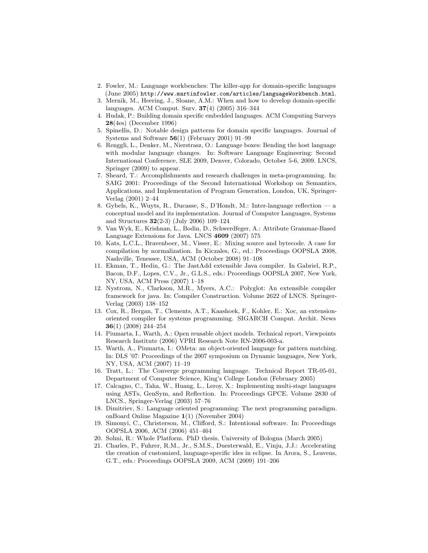- <span id="page-23-0"></span>2. Fowler, M.: Language workbenches: The killer-app for domain-specific languages (June 2005) <http://www.martinfowler.com/articles/languageWorkbench.html>.
- <span id="page-23-1"></span>3. Mernik, M., Heering, J., Sloane, A.M.: When and how to develop domain-specific languages. ACM Comput. Surv. 37(4) (2005) 316–344
- <span id="page-23-2"></span>4. Hudak, P.: Building domain specific embedded languages. ACM Computing Surveys 28(4es) (December 1996)
- <span id="page-23-3"></span>5. Spinellis, D.: Notable design patterns for domain specific languages. Journal of Systems and Software  $56(1)$  (February 2001) 91–99
- <span id="page-23-4"></span>6. Renggli, L., Denker, M., Nierstrasz, O.: Language boxes: Bending the host language with modular language changes. In: Software Language Engineering: Second International Conference, SLE 2009, Denver, Colorado, October 5-6, 2009. LNCS, Springer (2009) to appear.
- <span id="page-23-5"></span>7. Sheard, T.: Accomplishments and research challenges in meta-programming. In: SAIG 2001: Proceedings of the Second International Workshop on Semantics, Applications, and Implementation of Program Generation, London, UK, Springer-Verlag (2001) 2–44
- <span id="page-23-6"></span>8. Gybels, K., Wuyts, R., Ducasse, S., D'Hondt, M.: Inter-language reflection — a conceptual model and its implementation. Journal of Computer Languages, Systems and Structures 32(2-3) (July 2006) 109–124
- <span id="page-23-7"></span>9. Van Wyk, E., Krishnan, L., Bodin, D., Schwerdfeger, A.: Attribute Grammar-Based Language Extensions for Java. LNCS 4609 (2007) 575
- <span id="page-23-8"></span>10. Kats, L.C.L., Bravenboer, M., Visser, E.: Mixing source and bytecode. A case for compilation by normalization. In Kiczales, G., ed.: Proceedings OOPSLA 2008, Nashville, Tenessee, USA, ACM (October 2008) 91–108
- <span id="page-23-9"></span>11. Ekman, T., Hedin, G.: The JastAdd extensible Java compiler. In Gabriel, R.P., Bacon, D.F., Lopes, C.V., Jr., G.L.S., eds.: Proceedings OOPSLA 2007, New York, NY, USA, ACM Press (2007) 1–18
- <span id="page-23-10"></span>12. Nystrom, N., Clarkson, M.R., Myers, A.C.: Polyglot: An extensible compiler framework for java. In: Compiler Construction. Volume 2622 of LNCS. Springer-Verlag (2003) 138–152
- <span id="page-23-11"></span>13. Cox, R., Bergan, T., Clements, A.T., Kaashoek, F., Kohler, E.: Xoc, an extensionoriented compiler for systems programming. SIGARCH Comput. Archit. News 36(1) (2008) 244–254
- <span id="page-23-12"></span>14. Piumarta, I., Warth, A.: Open reusable object models. Technical report, Viewpoints Research Institute (2006) VPRI Research Note RN-2006-003-a.
- <span id="page-23-13"></span>15. Warth, A., Piumarta, I.: OMeta: an object-oriented language for pattern matching. In: DLS '07: Proceedings of the 2007 symposium on Dynamic languages, New York, NY, USA, ACM (2007) 11–19
- <span id="page-23-14"></span>16. Tratt, L.: The Converge programming language. Technical Report TR-05-01, Department of Computer Science, King's College London (February 2005)
- <span id="page-23-15"></span>17. Calcagno, C., Taha, W., Huang, L., Leroy, X.: Implementing multi-stage languages using ASTs, GenSym, and Reflection. In: Proceedings GPCE. Volume 2830 of LNCS., Springer-Verlag (2003) 57–76
- <span id="page-23-16"></span>18. Dimitriev, S.: Language oriented programming: The next programming paradigm. onBoard Online Magazine 1(1) (November 2004)
- <span id="page-23-17"></span>19. Simonyi, C., Christerson, M., Clifford, S.: Intentional software. In: Proceedings OOPSLA 2006, ACM (2006) 451–464
- <span id="page-23-18"></span>20. Solmi, R.: Whole Platform. PhD thesis, University of Bologna (March 2005)
- <span id="page-23-19"></span>21. Charles, P., Fuhrer, R.M., Jr., S.M.S., Duesterwald, E., Vinju, J.J.: Accelerating the creation of customized, language-specific ides in eclipse. In Arora, S., Leavens, G.T., eds.: Proceedings OOPSLA 2009, ACM (2009) 191–206